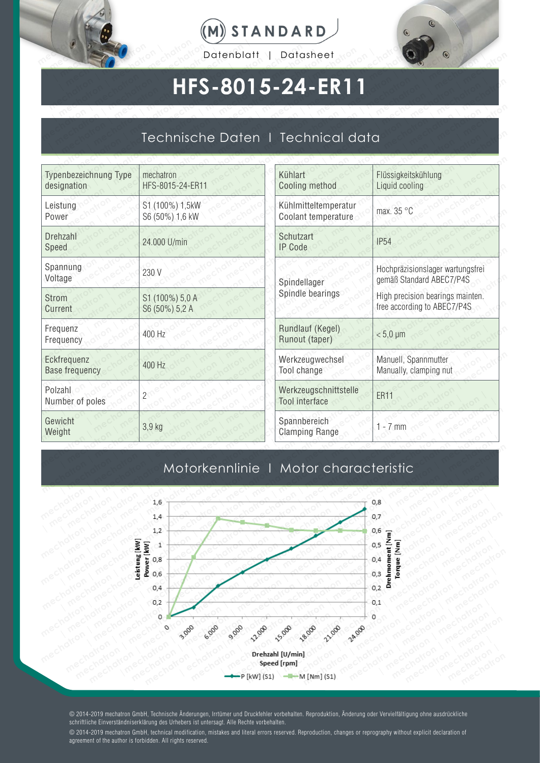





## **HFS-8015-24-ER11**

# Technische Daten I Technical data **HFS-8**<br>Technische Do

|                                      | Datenblatt                         | Datasheet                                      |                                                              |  |  |
|--------------------------------------|------------------------------------|------------------------------------------------|--------------------------------------------------------------|--|--|
|                                      | HFS-8015-24-ER11                   |                                                |                                                              |  |  |
|                                      |                                    | Technische Daten   Technical data              |                                                              |  |  |
| Typenbezeichnung Type<br>designation | mechatron<br>HFS-8015-24-ER11      | Kühlart<br>Cooling method                      | Flüssigkeitskühlung<br>Liquid cooling                        |  |  |
| Leistung<br>Power                    | S1 (100%) 1,5kW<br>S6 (50%) 1,6 kW | Kühlmitteltemperatur<br>Coolant temperature    | max. 35 °C                                                   |  |  |
| <b>Drehzahl</b><br>Speed             | 24.000 U/min                       | Schutzart<br><b>IP Code</b>                    | <b>IP54</b>                                                  |  |  |
| Spannung<br>Voltage                  | 230 V                              | Spindellager                                   | Hochpräzisionslager wartungs<br>gemäß Standard ABEC7/P4S     |  |  |
| <b>Strom</b><br>Current              | S1 (100%) 5,0 A<br>S6 (50%) 5,2 A  | Spindle bearings                               | High precision bearings maint<br>free according to ABEC7/P4S |  |  |
| Frequenz<br>Frequency                | 400 Hz                             | Rundlauf (Kegel)<br>Runout (taper)             | $< 5.0 \mu m$                                                |  |  |
| Eckfrequenz<br><b>Base frequency</b> | 400 Hz                             | Werkzeugwechsel<br>Tool change                 | Manuell, Spannmutter<br>Manually, clamping nut               |  |  |
| Polzahl<br>Number of poles           | $\overline{2}$                     | Werkzeugschnittstelle<br><b>Tool</b> interface | <b>ER11</b>                                                  |  |  |
| Gewicht<br>Weight                    | 3,9 kg                             | Spannbereich<br><b>Clamping Range</b>          | $1 - 7$ mm                                                   |  |  |

|                                      | Technische Daten I Technical data  |                                                |                                                                 |
|--------------------------------------|------------------------------------|------------------------------------------------|-----------------------------------------------------------------|
| Typenbezeichnung Type<br>designation | mechatron<br>HFS-8015-24-ER11      | Kühlart<br><b>Cooling method</b>               | Flüssigkeitskühlung<br>Liquid cooling                           |
| Leistung<br>Power                    | S1 (100%) 1,5kW<br>S6 (50%) 1,6 kW | Kühlmitteltemperatur<br>Coolant temperature    | max. 35 °C                                                      |
| Drehzahl<br>Speed                    | 24.000 U/min                       | Schutzart<br><b>IP Code</b>                    | <b>IP54</b>                                                     |
| Spannung<br>Voltage                  | 230 V                              | Spindellager                                   | Hochpräzisionslager wartungsfrei<br>gemäß Standard ABEC7/P4S    |
| <b>Strom</b><br>Current              | S1 (100%) 5,0 A<br>S6 (50%) 5,2 A  | Spindle bearings                               | High precision bearings mainten.<br>free according to ABEC7/P4S |
| Frequenz<br>Frequency                | 400 Hz                             | Rundlauf (Kegel)<br>Runout (taper)             | $< 5.0 \mu m$                                                   |
| Eckfrequenz<br><b>Base frequency</b> | 400 Hz                             | Werkzeugwechsel<br>Tool change                 | Manuell, Spannmutter<br>Manually, clamping nut                  |
| Polzahl<br>Number of poles           | $\overline{c}$                     | Werkzeugschnittstelle<br><b>Tool</b> interface | <b>ER11</b>                                                     |
| Gewicht<br>Weight                    | 3,9 kg                             | Spannbereich<br><b>Clamping Range</b>          | $1 - 7$ mm                                                      |
|                                      |                                    | Motorkennlinie   Motor characteristic          |                                                                 |

### Motorkennlinie I Motor characteristic



© 2014-2019 mechatron GmbH, Technische Änderungen, Irrtümer und Druckfehler vorbehalten. Reproduktion, Änderung oder Vervielfältigung ohne ausdrückliche schriftliche Einverständniserklärung des Urhebers ist untersagt. Alle Rechte vorbehalten.

© 2014-2019 mechatron GmbH, technical modification, mistakes and literal errors reserved. Reproduction, changes or reprography without explicit declaration of agreement of the author is forbidden. All rights reserved.